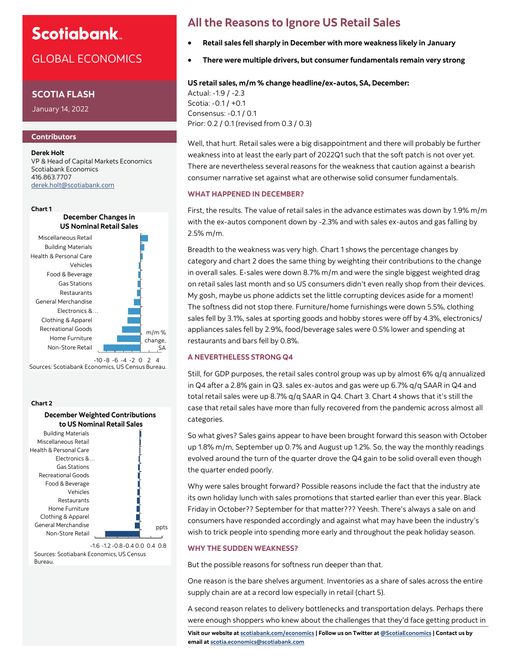# **Scotiabank**

# GLOBAL ECONOMICS

### **SCOTIA FLASH**

January 14, 2022

### **Contributors**

**Derek Holt** VP & Head of Capital Markets Economics Scotiabank Economics 416.863.7707 [derek.holt@scotiabank.com](mailto:derek.holt@scotiabank.com)



Sources: Scotiabank Economics, US Census Bureau.

#### **Chart 2**



Sources: Scotiabank Economics, US Census Bureau.

## **All the Reasons to Ignore US Retail Sales**

- **Retail sales fell sharply in December with more weakness likely in January**
- **There were multiple drivers, but consumer fundamentals remain very strong**

#### **US retail sales, m/m % change headline/ex-autos, SA, December:**

Actual: -1.9 / -2.3 Scotia: -0.1 / +0.1 Consensus: -0.1 / 0.1 Prior: 0.2 / 0.1 (revised from 0.3 / 0.3)

Well, that hurt. Retail sales were a big disappointment and there will probably be further weakness into at least the early part of 2022Q1 such that the soft patch is not over yet. There are nevertheless several reasons for the weakness that caution against a bearish consumer narrative set against what are otherwise solid consumer fundamentals.

#### **WHAT HAPPENED IN DECEMBER?**

First, the results. The value of retail sales in the advance estimates was down by 1.9% m/m with the ex-autos component down by -2.3% and with sales ex-autos and gas falling by 2.5% m/m.

Breadth to the weakness was very high. Chart 1 shows the percentage changes by category and chart 2 does the same thing by weighting their contributions to the change in overall sales. E-sales were down 8.7% m/m and were the single biggest weighted drag on retail sales last month and so US consumers didn't even really shop from their devices. My gosh, maybe us phone addicts set the little corrupting devices aside for a moment! The softness did not stop there. Furniture/home furnishings were down 5.5%, clothing sales fell by 3.1%, sales at sporting goods and hobby stores were off by 4.3%, electronics/ appliances sales fell by 2.9%, food/beverage sales were 0.5% lower and spending at restaurants and bars fell by 0.8%.

#### **A NEVERTHELESS STRONG Q4**

Still, for GDP purposes, the retail sales control group was up by almost 6% q/q annualized in Q4 after a 2.8% gain in Q3. sales ex-autos and gas were up 6.7% q/q SAAR in Q4 and total retail sales were up 8.7% q/q SAAR in Q4. Chart 3. Chart 4 shows that it's still the case that retail sales have more than fully recovered from the pandemic across almost all categories.

So what gives? Sales gains appear to have been brought forward this season with October up 1.8% m/m, September up 0.7% and August up 1.2%. So, the way the monthly readings evolved around the turn of the quarter drove the Q4 gain to be solid overall even though the quarter ended poorly.

Why were sales brought forward? Possible reasons include the fact that the industry ate its own holiday lunch with sales promotions that started earlier than ever this year. Black Friday in October?? September for that matter??? Yeesh. There's always a sale on and consumers have responded accordingly and against what may have been the industry's wish to trick people into spending more early and throughout the peak holiday season.

#### **WHY THE SUDDEN WEAKNESS?**

But the possible reasons for softness run deeper than that.

One reason is the bare shelves argument. Inventories as a share of sales across the entire supply chain are at a record low especially in retail (chart 5).

A second reason relates to delivery bottlenecks and transportation delays. Perhaps there were enough shoppers who knew about the challenges that they'd face getting product in

**Visit our website at [scotiabank.com/economics](https://www.scotiabank.com/ca/en/about/global-economics/economics-publications.html) | Follow us on Twitter at [@ScotiaEconomics](https://twitter.com/ScotiaEconomics) | Contact us by email at scotia.economics@scotiabank.com**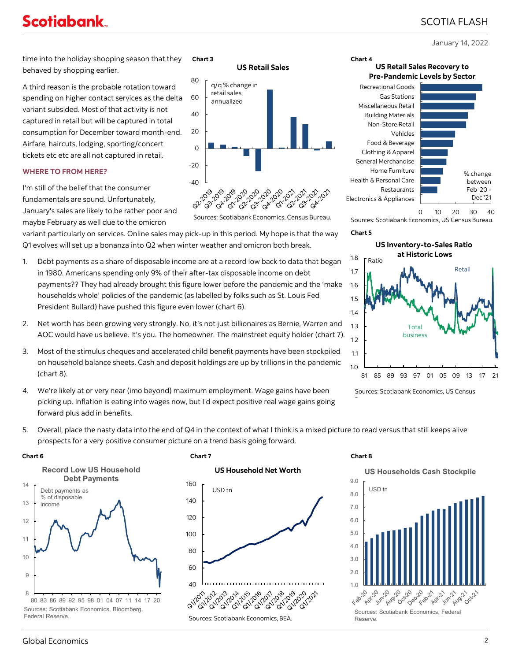# **Scotiabank**

# SCOTIA FLASH

January 14, 2022

time into the holiday shopping season that they behaved by shopping earlier. **Chart 3 Chart 4** 

A third reason is the probable rotation toward spending on higher contact services as the delta variant subsided. Most of that activity is not captured in retail but will be captured in total consumption for December toward month-end. Airfare, haircuts, lodging, sporting/concert tickets etc etc are all not captured in retail.

## **WHERE TO FROM HERE?**

I'm still of the belief that the consumer fundamentals are sound. Unfortunately, January's sales are likely to be rather poor and maybe February as well due to the omicron

variant particularly on services. Online sales may pick-up in this period. My hope is that the way Q1 evolves will set up a bonanza into Q2 when winter weather and omicron both break.

- 1. Debt payments as a share of disposable income are at a record low back to data that began in 1980. Americans spending only 9% of their after-tax disposable income on debt payments?? They had already brought this figure lower before the pandemic and the 'make households whole' policies of the pandemic (as labelled by folks such as St. Louis Fed President Bullard) have pushed this figure even lower (chart 6).
- 2. Net worth has been growing very strongly. No, it's not just billionaires as Bernie, Warren and AOC would have us believe. It's you. The homeowner. The mainstreet equity holder (chart 7).
- 3. Most of the stimulus cheques and accelerated child benefit payments have been stockpiled on household balance sheets. Cash and deposit holdings are up by trillions in the pandemic (chart 8).
- 4. We're likely at or very near (imo beyond) maximum employment. Wage gains have been picking up. Inflation is eating into wages now, but I'd expect positive real wage gains going forward plus add in benefits.



Electronics & Appliances Restaurants Health & Personal Care Home Furniture General Merchandise Clothing & Apparel Food & Beverage Vehicles Non-Store Retail Building Materials Miscellaneous Retail Gas Stations Recreational Goods



0 10 20 30 40 Sources: Scotiabank Economics, US Census Bureau.

**US Retail Sales Recovery to** 

#### **Chart 5**

**US Inventory-to-Sales Ratio at Historic Lows** Ratio Retail



Sources: Scotiabank Economics, US Census

5. Overall, place the nasty data into the end of Q4 in the context of what I think is a mixed picture to read versus that still keeps alive prospects for a very positive consumer picture on a trend basis going forward.





Sources: Scotiabank Economics, Bloomberg, Federal Reserve.







## Global Economics 2